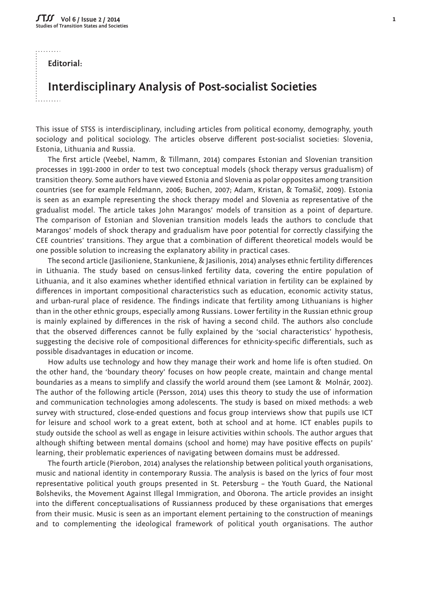$\dddot{r}$ 

**Editorial:** 

## **Interdisciplinary Analysis of Post-socialist Societies**

This issue of STSS is interdisciplinary, including articles from political economy, demography, youth sociology and political sociology. The articles observe different post-socialist societies: Slovenia, Estonia, Lithuania and Russia.

The first article (Veebel, Namm, & Tillmann, 2014) compares Estonian and Slovenian transition processes in 1991-2000 in order to test two conceptual models (shock therapy versus gradualism) of transition theory. Some authors have viewed Estonia and Slovenia as polar opposites among transition countries (see for example Feldmann, 2006; Buchen, 2007; Adam, Kristan, & Tomašič, 2009). Estonia is seen as an example representing the shock therapy model and Slovenia as representative of the gradualist model. The article takes John Marangos' models of transition as a point of departure. The comparison of Estonian and Slovenian transition models leads the authors to conclude that Marangos' models of shock therapy and gradualism have poor potential for correctly classifying the CEE countries' transitions. They argue that a combination of different theoretical models would be one possible solution to increasing the explanatory ability in practical cases.

The second article (Jasilioniene, Stankuniene, & Jasilionis, 2014) analyses ethnic fertility differences in Lithuania. The study based on census-linked fertility data, covering the entire population of Lithuania, and it also examines whether identified ethnical variation in fertility can be explained by differences in important compositional characteristics such as education, economic activity status, and urban-rural place of residence. The findings indicate that fertility among Lithuanians is higher than in the other ethnic groups, especially among Russians. Lower fertility in the Russian ethnic group is mainly explained by differences in the risk of having a second child. The authors also conclude that the observed differences cannot be fully explained by the 'social characteristics' hypothesis, suggesting the decisive role of compositional differences for ethnicity-specific differentials, such as possible disadvantages in education or income.

How adults use technology and how they manage their work and home life is often studied. On the other hand, the 'boundary theory' focuses on how people create, maintain and change mental boundaries as a means to simplify and classify the world around them (see Lamont & Molnár, 2002). The author of the following article (Persson, 2014) uses this theory to study the use of information and communication technologies among adolescents. The study is based on mixed methods: a web survey with structured, close-ended questions and focus group interviews show that pupils use ICT for leisure and school work to a great extent, both at school and at home. ICT enables pupils to study outside the school as well as engage in leisure activities within schools. The author argues that although shifting between mental domains (school and home) may have positive effects on pupils' learning, their problematic experiences of navigating between domains must be addressed.

The fourth article (Pierobon, 2014) analyses the relationship between political youth organisations, music and national identity in contemporary Russia. The analysis is based on the lyrics of four most representative political youth groups presented in St. Petersburg – the Youth Guard, the National Bolsheviks, the Movement Against Illegal Immigration, and Oborona. The article provides an insight into the different conceptualisations of Russianness produced by these organisations that emerges from their music. Music is seen as an important element pertaining to the construction of meanings and to complementing the ideological framework of political youth organisations. The author